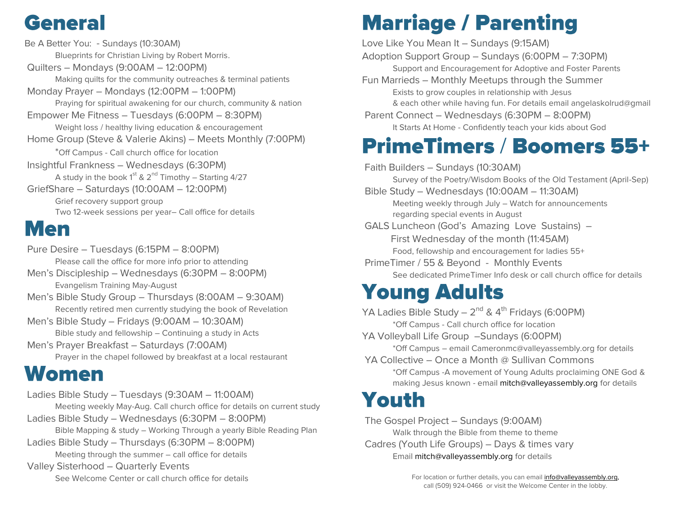# **General**

**Be A Better You:** - Sundays *(10:30AM) Blueprints for Christian Living by Robert Morris.* **Quilters –** Mondays *(9:00AM – 12:00PM) Making quilts for the community outreaches & terminal patients* **Monday Prayer –** Mondays *(12:00PM – 1:00PM) Praying for spiritual awakening for our church, community & nation* **Empower Me Fitness –** Tuesdays *(6:00PM – 8:30PM) Weight loss / healthy living education & encouragement* **Home Group (Steve & Valerie Akins) –** Meets Monthly *(7:00PM) \*Off Campus - Call church office for location* **Insightful Frankness –** Wednesdays *(6:30PM) A study in the book 1st & 2nd Timothy – Starting 4/27* **GriefShare –** Saturdays *(10:00AM – 12:00PM) Grief recovery support group Two 12-week sessions per year– Call office for details* 

### **Men**

**Pure Desire –** Tuesdays *(6:15PM – 8:00PM) Please call the office for more info prior to attending* **Men's Discipleship –** Wednesdays *(6:30PM – 8:00PM) Evangelism Training May-August* **Men's Bible Study Group –** Thursdays *(8:00AM – 9:30AM) Recently retired men currently studying the book of Revelation* **Men's Bible Study –** Fridays *(9:00AM – 10:30AM) Bible study and fellowship – Continuing a study in Acts* **Men's Prayer Breakfast –** Saturdays *(7:00AM) Prayer in the chapel followed by breakfast at a local restaurant*

#### **Women**

**Ladies Bible Study –** Tuesdays *(9:30AM – 11:00AM) Meeting weekly May-Aug. Call church office for details on current study* **Ladies Bible Study –** Wednesdays *(6:30PM – 8:00PM) Bible Mapping & study – Working Through a yearly Bible Reading Plan* **Ladies Bible Study –** Thursdays *(6:30PM – 8:00PM) Meeting through the summer – call office for details* **Valley Sisterhood –** Quarterly Events *See Welcome Center or call church office for details*

# **Marriage / Parenting**

**Love Like You Mean It –** Sundays *(9:15AM)* **Adoption Support Group –** Sundays *(6:00PM – 7:30PM) Support and Encouragement for Adoptive and Foster Parents* **Fun Marrieds –** Monthly Meetups through the Summer *Exists to grow couples in relationship with Jesus & each other while having fun. For details email angelaskolrud@gmail* **Parent Connect –** Wednesdays *(6:30PM – 8:00PM) It Starts At Home - Confidently teach your kids about God* **PrimeTimers / Boomers 55+ Faith Builders –** Sundays *(10:30AM)*

*Survey of the Poetry/Wisdom Books of the Old Testament (April-Sep)* **Bible Study –** Wednesdays *(10:00AM – 11:30AM) Meeting weekly through July – Watch for announcements regarding special events in August* **GALS Luncheon (God's Amazing Love Sustains) –** First Wednesday of the month *(11:45AM) Food, fellowship and encouragement for ladies 55+* **PrimeTimer / 55 & Beyond -** Monthly Events *See dedicated PrimeTimer Info desk or call church office for details*

## **Young Adults**

**YA Ladies Bible Study –** 2 nd & 4th Fridays *(6:00PM) \*Off Campus - Call church office for location* **YA Volleyball Life Group –**Sundays *(6:00PM) \*Off Campus – email Cameronmc@valleyassembly.org for details* **YA Collective –** Once a Month @ Sullivan Commons

**\****Off Campus -A movement of Young Adults proclaiming ONE God & making Jesus known - emai[l mitch@valleyassembly.org](mailto:mitch@valleyassembly.org) for details*

# Youth

**The Gospel Project –** Sundays *(9:00AM) Walk through the Bible from theme to theme* **Cadres (Youth Life Groups) –** Days & times vary *Email [mitch@valleyassembly.org](mailto:mitch@valleyassembly.org)* for details

> For location or further details, you can emai[l info@valleyassembly.org,](mailto:info@valleyassembly.org) call (509) 924-0466 or visit the Welcome Center in the lobby.